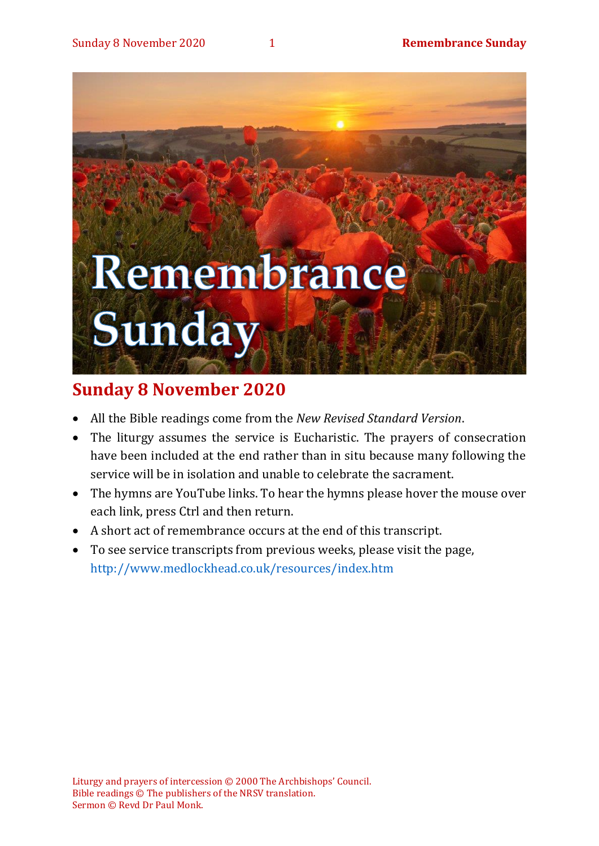# Remembrance Sunday

# **Sunday 8 November 2020**

- All the Bible readings come from the *New Revised Standard Version*.
- The liturgy assumes the service is Eucharistic. The prayers of consecration have been included at the end rather than in situ because many following the service will be in isolation and unable to celebrate the sacrament.
- The hymns are YouTube links. To hear the hymns please hover the mouse over each link, press Ctrl and then return.
- A short act of remembrance occurs at the end of this transcript.
- To see service transcripts from previous weeks, please visit the page, <http://www.medlockhead.co.uk/resources/index.htm>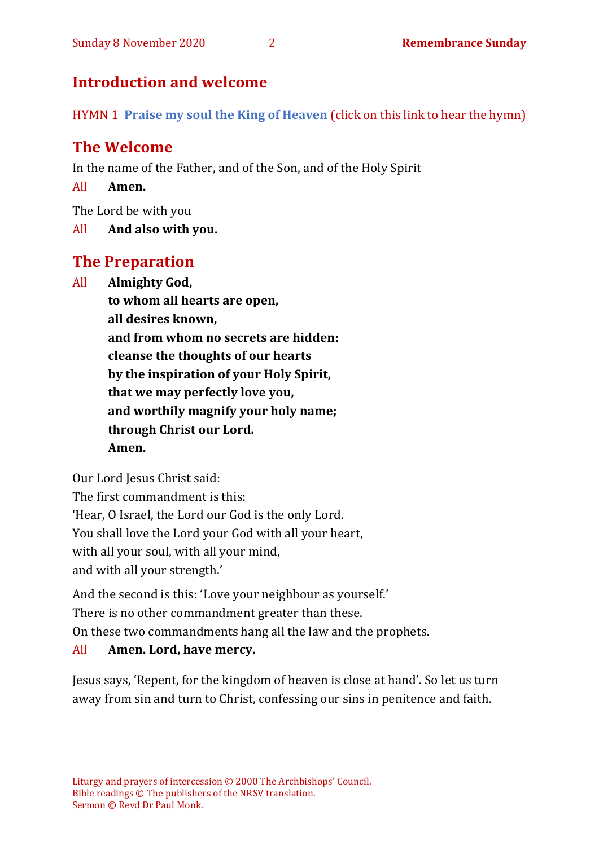# **Introduction and welcome**

HYMN 1 **[Praise my soul the King of Heaven](https://www.youtube.com/watch?v=sx1eMwlDFb8)** (click on this link to hear the hymn)

# **The Welcome**

In the name of the Father, and of the Son, and of the Holy Spirit

All **Amen.**

The Lord be with you

All **And also with you.**

# **The Preparation**

All **Almighty God,**

**to whom all hearts are open, all desires known, and from whom no secrets are hidden: cleanse the thoughts of our hearts by the inspiration of your Holy Spirit, that we may perfectly love you, and worthily magnify your holy name; through Christ our Lord. Amen.**

Our Lord Jesus Christ said:

The first commandment is this:

'Hear, O Israel, the Lord our God is the only Lord.

You shall love the Lord your God with all your heart,

with all your soul, with all your mind,

and with all your strength.'

And the second is this: 'Love your neighbour as yourself.'

There is no other commandment greater than these.

On these two commandments hang all the law and the prophets.

# All **Amen. Lord, have mercy.**

Jesus says, 'Repent, for the kingdom of heaven is close at hand'. So let us turn away from sin and turn to Christ, confessing our sins in penitence and faith.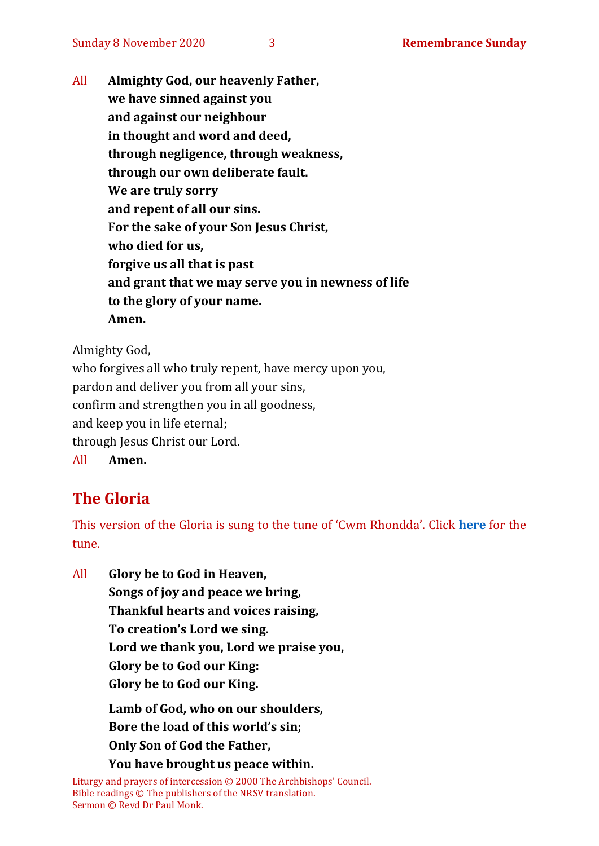All **Almighty God, our heavenly Father, we have sinned against you and against our neighbour in thought and word and deed, through negligence, through weakness, through our own deliberate fault. We are truly sorry and repent of all our sins. For the sake of your Son Jesus Christ, who died for us, forgive us all that is past and grant that we may serve you in newness of life to the glory of your name. Amen.**

Almighty God,

who forgives all who truly repent, have mercy upon you, pardon and deliver you from all your sins, confirm and strengthen you in all goodness, and keep you in life eternal; through Jesus Christ our Lord. All **Amen.**

# **The Gloria**

This version of the Gloria is sung to the tune of 'Cwm Rhondda'. Click **[here](about:blank)** for the tune.

All **Glory be to God in Heaven, Songs of joy and peace we bring, Thankful hearts and voices raising, To creation's Lord we sing. Lord we thank you, Lord we praise you, Glory be to God our King: Glory be to God our King.**

> **Lamb of God, who on our shoulders, Bore the load of this world's sin; Only Son of God the Father,**

**You have brought us peace within.**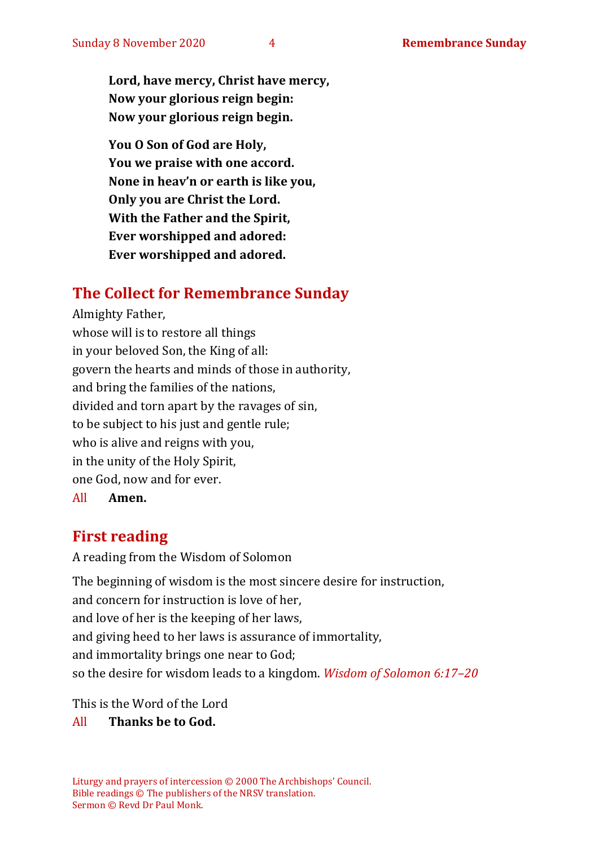**Lord, have mercy, Christ have mercy, Now your glorious reign begin: Now your glorious reign begin.**

**You O Son of God are Holy, You we praise with one accord. None in heav'n or earth is like you, Only you are Christ the Lord. With the Father and the Spirit, Ever worshipped and adored: Ever worshipped and adored.**

# **The Collect for Remembrance Sunday**

Almighty Father, whose will is to restore all things in your beloved Son, the King of all: govern the hearts and minds of those in authority, and bring the families of the nations, divided and torn apart by the ravages of sin, to be subject to his just and gentle rule; who is alive and reigns with you, in the unity of the Holy Spirit, one God, now and for ever.

All **Amen.**

# **First reading**

A reading from the Wisdom of Solomon

The beginning of wisdom is the most sincere desire for instruction, and concern for instruction is love of her, and love of her is the keeping of her laws, and giving heed to her laws is assurance of immortality, and immortality brings one near to God; so the desire for wisdom leads to a kingdom. *Wisdom of Solomon 6:17–20*

This is the Word of the Lord

#### All **Thanks be to God.**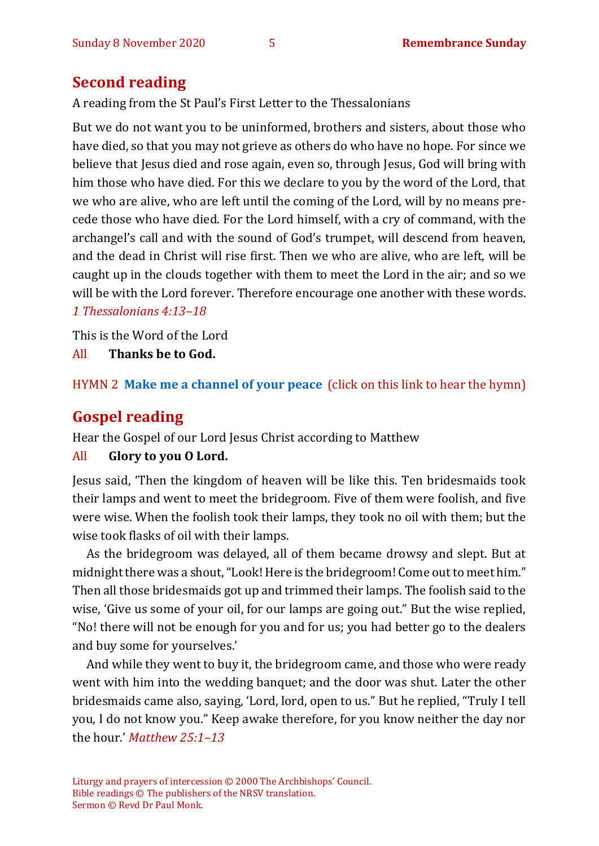# **Second reading**

A reading from the St Paul's First Letter to the Thessalonians

But we do not want you to be uninformed, brothers and sisters, about those who have died, so that you may not grieve as others do who have no hope. For since we believe that Jesus died and rose again, even so, through Jesus, God will bring with him those who have died. For this we declare to you by the word of the Lord, that we who are alive, who are left until the coming of the Lord, will by no means precede those who have died. For the Lord himself, with a cry of command, with the archangel's call and with the sound of God's trumpet, will descend from heaven, and the dead in Christ will rise first. Then we who are alive, who are left, will be caught up in the clouds together with them to meet the Lord in the air; and so we will be with the Lord forever. Therefore encourage one another with these words. *1 Thessalonians 4:13–18*

This is the Word of the Lord

All **Thanks be to God.**

HYMN 2 **[Make me a channel of](https://www.youtube.com/watch?v=JYV5Q0E2caE) your peace** (click on this link to hear the hymn)

# **Gospel reading**

Hear the Gospel of our Lord Jesus Christ according to Matthew

#### All **Glory to you O Lord.**

Jesus said, 'Then the kingdom of heaven will be like this. Ten bridesmaids took their lamps and went to meet the bridegroom. Five of them were foolish, and five were wise. When the foolish took their lamps, they took no oil with them; but the wise took flasks of oil with their lamps.

As the bridegroom was delayed, all of them became drowsy and slept. But at midnight there was a shout, "Look! Here is the bridegroom! Come out to meet him." Then all those bridesmaids got up and trimmed their lamps. The foolish said to the wise, 'Give us some of your oil, for our lamps are going out." But the wise replied, "No! there will not be enough for you and for us; you had better go to the dealers and buy some for yourselves.'

And while they went to buy it, the bridegroom came, and those who were ready went with him into the wedding banquet; and the door was shut. Later the other bridesmaids came also, saying, 'Lord, lord, open to us." But he replied, "Truly I tell you, I do not know you." Keep awake therefore, for you know neither the day nor the hour.' *Matthew 25:1–13*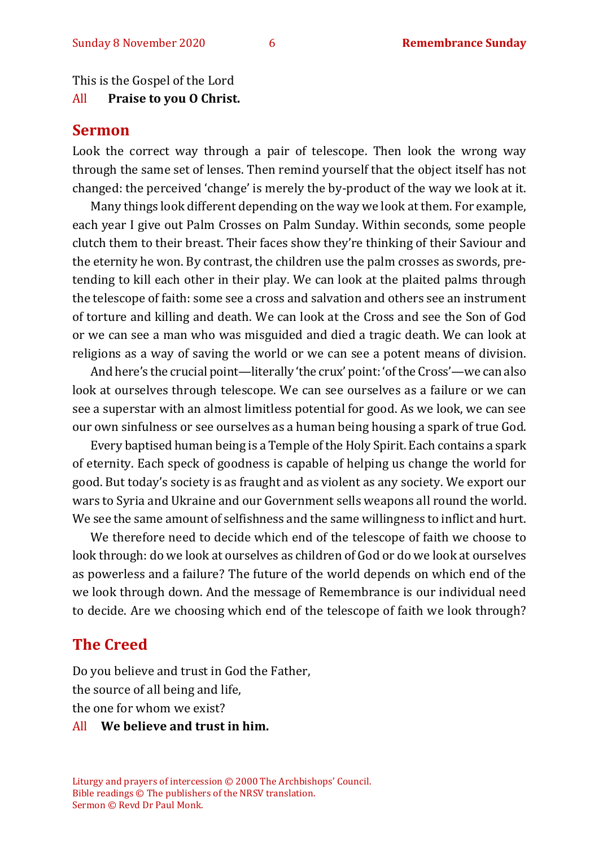This is the Gospel of the Lord All **Praise to you O Christ.** 

# **Sermon**

Look the correct way through a pair of telescope. Then look the wrong way through the same set of lenses. Then remind yourself that the object itself has not changed: the perceived 'change' is merely the by-product of the way we look at it.

Many things look different depending on the way we look at them. For example, each year I give out Palm Crosses on Palm Sunday. Within seconds, some people clutch them to their breast. Their faces show they're thinking of their Saviour and the eternity he won. By contrast, the children use the palm crosses as swords, pretending to kill each other in their play. We can look at the plaited palms through the telescope of faith: some see a cross and salvation and others see an instrument of torture and killing and death. We can look at the Cross and see the Son of God or we can see a man who was misguided and died a tragic death. We can look at religions as a way of saving the world or we can see a potent means of division.

And here's the crucial point—literally 'the crux' point: 'of the Cross'—we can also look at ourselves through telescope. We can see ourselves as a failure or we can see a superstar with an almost limitless potential for good. As we look, we can see our own sinfulness or see ourselves as a human being housing a spark of true God.

Every baptised human being is a Temple of the Holy Spirit. Each contains a spark of eternity. Each speck of goodness is capable of helping us change the world for good. But today's society is as fraught and as violent as any society. We export our wars to Syria and Ukraine and our Government sells weapons all round the world. We see the same amount of selfishness and the same willingness to inflict and hurt.

We therefore need to decide which end of the telescope of faith we choose to look through: do we look at ourselves as children of God or do we look at ourselves as powerless and a failure? The future of the world depends on which end of the we look through down. And the message of Remembrance is our individual need to decide. Are we choosing which end of the telescope of faith we look through?

## **The Creed**

Do you believe and trust in God the Father, the source of all being and life, the one for whom we exist?

#### All **We believe and trust in him.**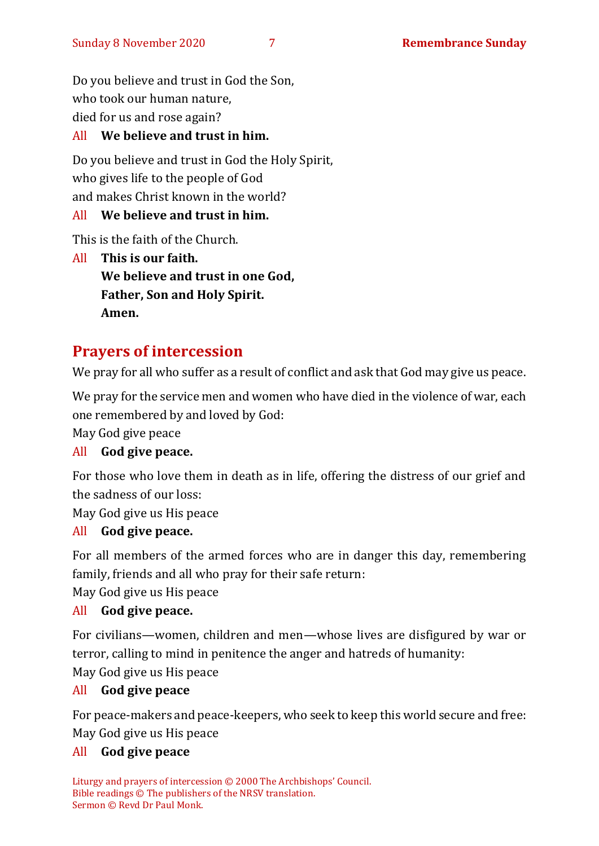Do you believe and trust in God the Son, who took our human nature, died for us and rose again?

## All **We believe and trust in him.**

Do you believe and trust in God the Holy Spirit, who gives life to the people of God and makes Christ known in the world?

## All **We believe and trust in him.**

This is the faith of the Church.

All **This is our faith. We believe and trust in one God, Father, Son and Holy Spirit. Amen.**

# **Prayers of intercession**

We pray for all who suffer as a result of conflict and ask that God may give us peace.

We pray for the service men and women who have died in the violence of war, each one remembered by and loved by God:

May God give peace

# All **God give peace.**

For those who love them in death as in life, offering the distress of our grief and the sadness of our loss:

May God give us His peace

#### All **God give peace.**

For all members of the armed forces who are in danger this day, remembering family, friends and all who pray for their safe return:

May God give us His peace

# All **God give peace.**

For civilians—women, children and men—whose lives are disfigured by war or terror, calling to mind in penitence the anger and hatreds of humanity:

May God give us His peace

#### All **God give peace**

For peace-makers and peace-keepers, who seek to keep this world secure and free: May God give us His peace

#### All **God give peace**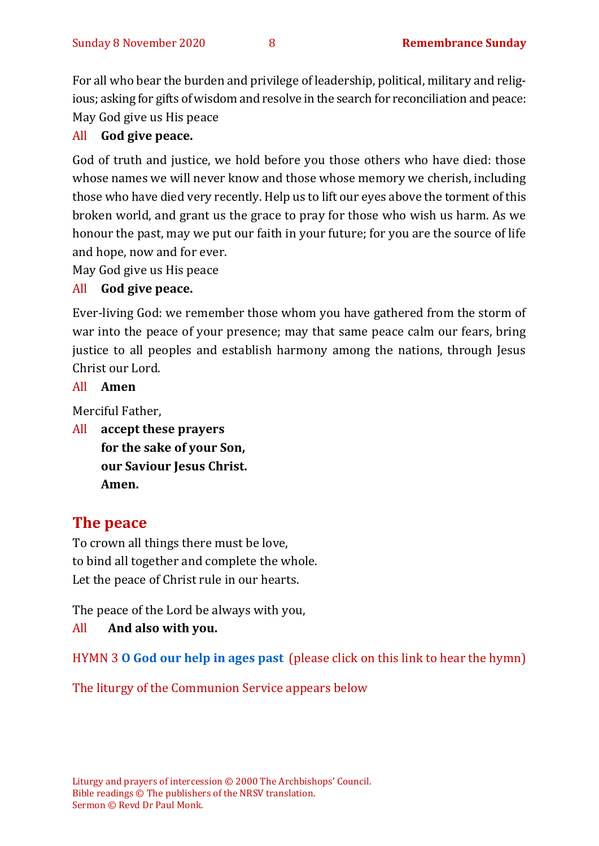For all who bear the burden and privilege of leadership, political, military and religious; asking for gifts of wisdom and resolve in the search for reconciliation and peace: May God give us His peace

#### All **God give peace.**

God of truth and justice, we hold before you those others who have died: those whose names we will never know and those whose memory we cherish, including those who have died very recently. Help us to lift our eyes above the torment of this broken world, and grant us the grace to pray for those who wish us harm. As we honour the past, may we put our faith in your future; for you are the source of life and hope, now and for ever.

May God give us His peace

#### All **God give peace.**

Ever-living God: we remember those whom you have gathered from the storm of war into the peace of your presence; may that same peace calm our fears, bring justice to all peoples and establish harmony among the nations, through Jesus Christ our Lord.

#### All **Amen**

Merciful Father,

All **accept these prayers for the sake of your Son, our Saviour Jesus Christ. Amen.**

# **The peace**

To crown all things there must be love, to bind all together and complete the whole. Let the peace of Christ rule in our hearts.

The peace of the Lord be always with you,

#### All **And also with you.**

HYMN 3 **[O God our help in ages past](https://www.youtube.com/watch?v=ZjdmLstpNGE)** (please click on this link to hear the hymn)

The liturgy of the Communion Service appears below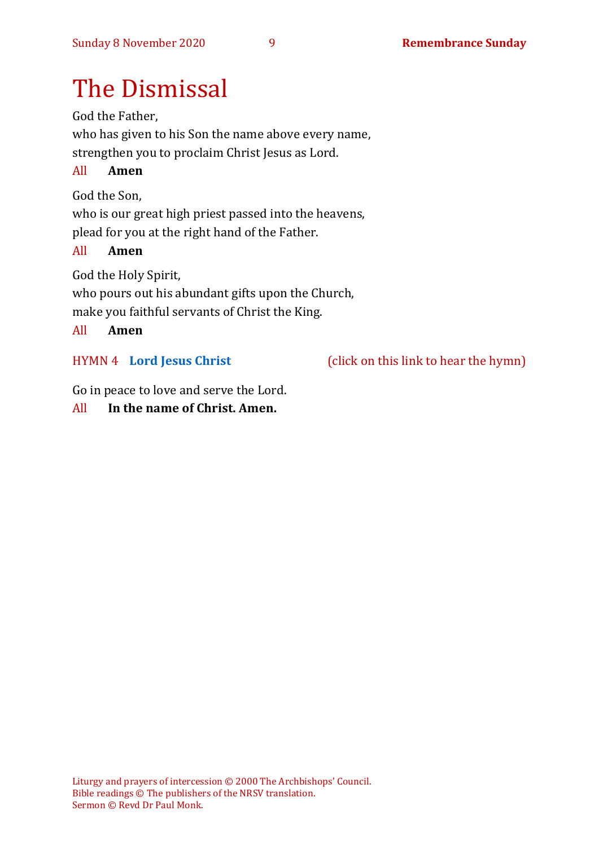# The Dismissal

God the Father, who has given to his Son the name above every name, strengthen you to proclaim Christ Jesus as Lord.

## All **Amen**

God the Son,

who is our great high priest passed into the heavens, plead for you at the right hand of the Father.

#### All **Amen**

God the Holy Spirit, who pours out his abundant gifts upon the Church, make you faithful servants of Christ the King.

#### All **Amen**

HYMN 4 **[Lord Jesus Christ](https://youtu.be/ubl8VsTNVv8)** (click on this link to hear the hymn)

Go in peace to love and serve the Lord.

## All **In the name of Christ. Amen.**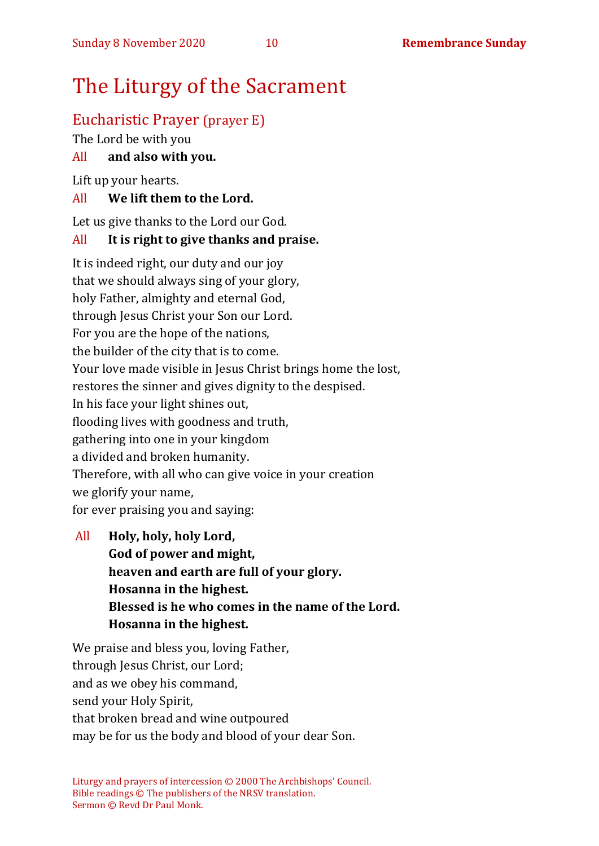# The Liturgy of the Sacrament

# Eucharistic Prayer (prayer E)

The Lord be with you

# All **and also with you.**

Lift up your hearts.

## All **We lift them to the Lord.**

Let us give thanks to the Lord our God.

# All **It is right to give thanks and praise.**

It is indeed right, our duty and our joy that we should always sing of your glory, holy Father, almighty and eternal God, through Jesus Christ your Son our Lord. For you are the hope of the nations, the builder of the city that is to come. Your love made visible in Jesus Christ brings home the lost, restores the sinner and gives dignity to the despised. In his face your light shines out, flooding lives with goodness and truth, gathering into one in your kingdom a divided and broken humanity. Therefore, with all who can give voice in your creation we glorify your name, for ever praising you and saying:

All **Holy, holy, holy Lord, God of power and might, heaven and earth are full of your glory. Hosanna in the highest. Blessed is he who comes in the name of the Lord. Hosanna in the highest.**

We praise and bless you, loving Father, through Jesus Christ, our Lord; and as we obey his command, send your Holy Spirit, that broken bread and wine outpoured may be for us the body and blood of your dear Son.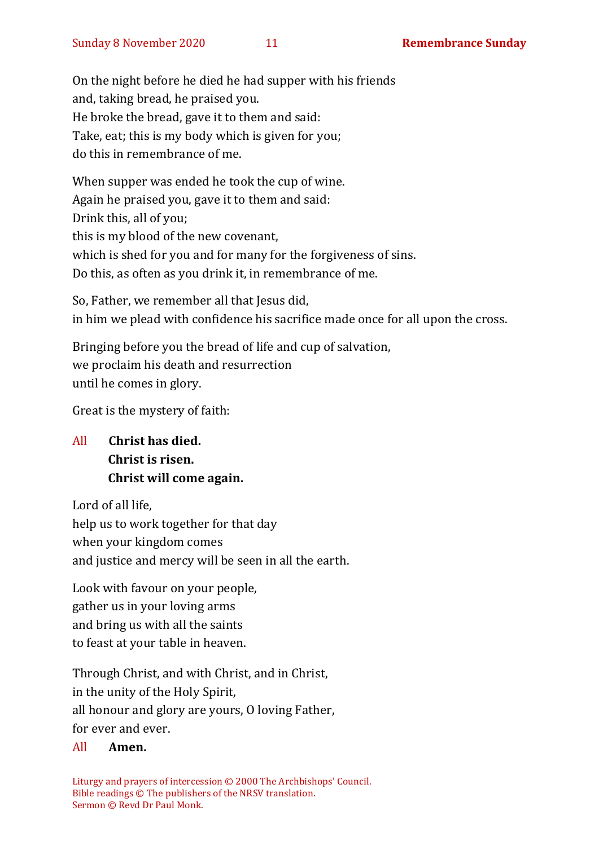On the night before he died he had supper with his friends and, taking bread, he praised you. He broke the bread, gave it to them and said: Take, eat; this is my body which is given for you; do this in remembrance of me.

When supper was ended he took the cup of wine. Again he praised you, gave it to them and said: Drink this, all of you; this is my blood of the new covenant, which is shed for you and for many for the forgiveness of sins. Do this, as often as you drink it, in remembrance of me.

So, Father, we remember all that Jesus did, in him we plead with confidence his sacrifice made once for all upon the cross.

Bringing before you the bread of life and cup of salvation, we proclaim his death and resurrection until he comes in glory.

Great is the mystery of faith:

# All **Christ has died. Christ is risen. Christ will come again.**

Lord of all life, help us to work together for that day when your kingdom comes and justice and mercy will be seen in all the earth.

Look with favour on your people, gather us in your loving arms and bring us with all the saints to feast at your table in heaven.

Through Christ, and with Christ, and in Christ, in the unity of the Holy Spirit, all honour and glory are yours, O loving Father, for ever and ever.

#### All **Amen.**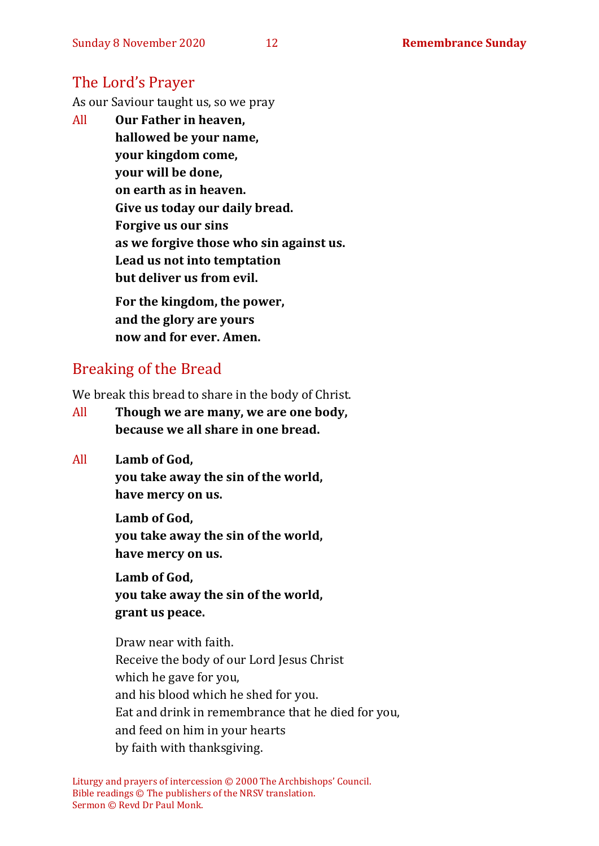# The Lord's Prayer

As our Saviour taught us, so we pray

All **Our Father in heaven, hallowed be your name, your kingdom come, your will be done, on earth as in heaven. Give us today our daily bread. Forgive us our sins as we forgive those who sin against us. Lead us not into temptation but deliver us from evil. For the kingdom, the power,** 

**and the glory are yours now and for ever. Amen.**

# Breaking of the Bread

We break this bread to share in the body of Christ.

- All **Though we are many, we are one body, because we all share in one bread.**
- All **Lamb of God,**

**you take away the sin of the world, have mercy on us.**

**Lamb of God, you take away the sin of the world, have mercy on us.**

**Lamb of God, you take away the sin of the world, grant us peace.**

Draw near with faith. Receive the body of our Lord Jesus Christ which he gave for you, and his blood which he shed for you. Eat and drink in remembrance that he died for you, and feed on him in your hearts by faith with thanksgiving.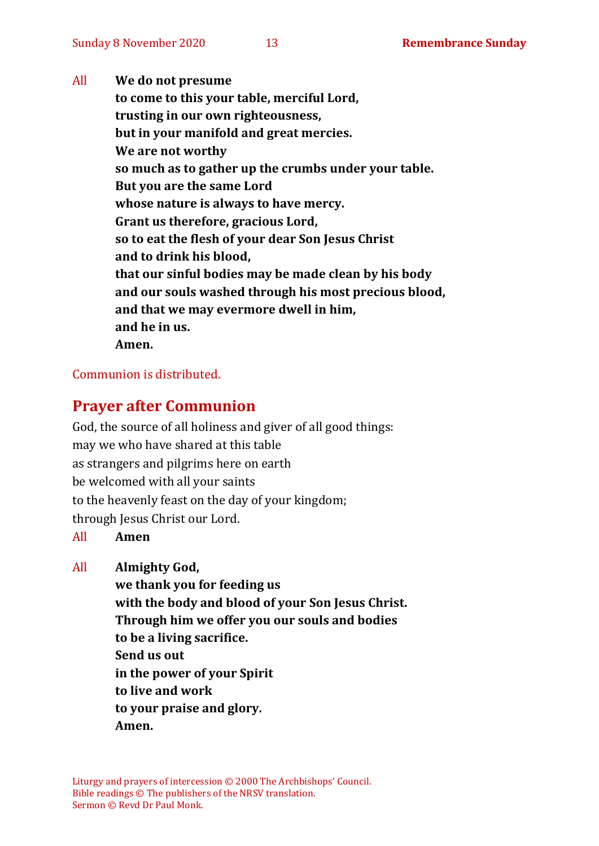All **We do not presume to come to this your table, merciful Lord, trusting in our own righteousness, but in your manifold and great mercies. We are not worthy so much as to gather up the crumbs under your table. But you are the same Lord whose nature is always to have mercy. Grant us therefore, gracious Lord, so to eat the flesh of your dear Son Jesus Christ and to drink his blood, that our sinful bodies may be made clean by his body and our souls washed through his most precious blood, and that we may evermore dwell in him, and he in us. Amen.**

#### Communion is distributed.

# **Prayer after Communion**

God, the source of all holiness and giver of all good things: may we who have shared at this table as strangers and pilgrims here on earth be welcomed with all your saints to the heavenly feast on the day of your kingdom; through Jesus Christ our Lord.

#### All **Amen**

All **Almighty God,**

**we thank you for feeding us with the body and blood of your Son Jesus Christ. Through him we offer you our souls and bodies to be a living sacrifice. Send us out in the power of your Spirit to live and work to your praise and glory. Amen.**